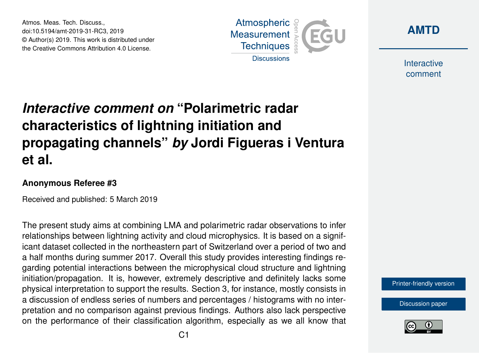Atmos. Meas. Tech. Discuss., doi:10.5194/amt-2019-31-RC3, 2019 © Author(s) 2019. This work is distributed under the Creative Commons Attribution 4.0 License.





Interactive comment

## *Interactive comment on* **"Polarimetric radar characteristics of lightning initiation and propagating channels"** *by* **Jordi Figueras i Ventura et al.**

## **Anonymous Referee #3**

Received and published: 5 March 2019

The present study aims at combining LMA and polarimetric radar observations to infer relationships between lightning activity and cloud microphysics. It is based on a significant dataset collected in the northeastern part of Switzerland over a period of two and a half months during summer 2017. Overall this study provides interesting findings regarding potential interactions between the microphysical cloud structure and lightning initiation/propagation. It is, however, extremely descriptive and definitely lacks some physical interpretation to support the results. Section 3, for instance, mostly consists in a discussion of endless series of numbers and percentages / histograms with no interpretation and no comparison against previous findings. Authors also lack perspective on the performance of their classification algorithm, especially as we all know that

[Printer-friendly version](https://www.atmos-meas-tech-discuss.net/amt-2019-31/amt-2019-31-RC3-print.pdf)

[Discussion paper](https://www.atmos-meas-tech-discuss.net/amt-2019-31)

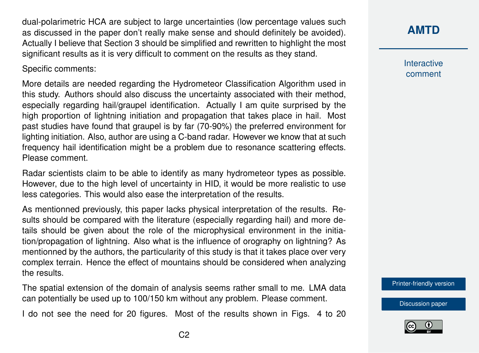dual-polarimetric HCA are subject to large uncertainties (low percentage values such as discussed in the paper don't really make sense and should definitely be avoided). Actually I believe that Section 3 should be simplified and rewritten to highlight the most significant results as it is very difficult to comment on the results as they stand.

Specific comments:

More details are needed regarding the Hydrometeor Classification Algorithm used in this study. Authors should also discuss the uncertainty associated with their method, especially regarding hail/graupel identification. Actually I am quite surprised by the high proportion of lightning initiation and propagation that takes place in hail. Most past studies have found that graupel is by far (70-90%) the preferred environment for lighting initiation. Also, author are using a C-band radar. However we know that at such frequency hail identification might be a problem due to resonance scattering effects. Please comment.

Radar scientists claim to be able to identify as many hydrometeor types as possible. However, due to the high level of uncertainty in HID, it would be more realistic to use less categories. This would also ease the interpretation of the results.

As mentionned previously, this paper lacks physical interpretation of the results. Results should be compared with the literature (especially regarding hail) and more details should be given about the role of the microphysical environment in the initiation/propagation of lightning. Also what is the influence of orography on lightning? As mentionned by the authors, the particularity of this study is that it takes place over very complex terrain. Hence the effect of mountains should be considered when analyzing the results.

The spatial extension of the domain of analysis seems rather small to me. LMA data can potentially be used up to 100/150 km without any problem. Please comment.

I do not see the need for 20 figures. Most of the results shown in Figs. 4 to 20

## **[AMTD](https://www.atmos-meas-tech-discuss.net/)**

Interactive comment

[Printer-friendly version](https://www.atmos-meas-tech-discuss.net/amt-2019-31/amt-2019-31-RC3-print.pdf)

[Discussion paper](https://www.atmos-meas-tech-discuss.net/amt-2019-31)